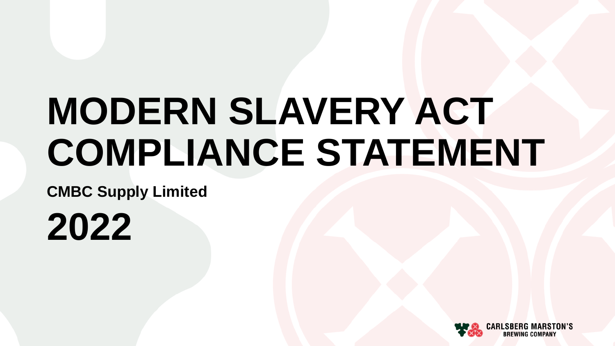# **MODERN SLAVERY ACT COMPLIANCE STATEMENT**

**CMBC Supply Limited**

**2022**

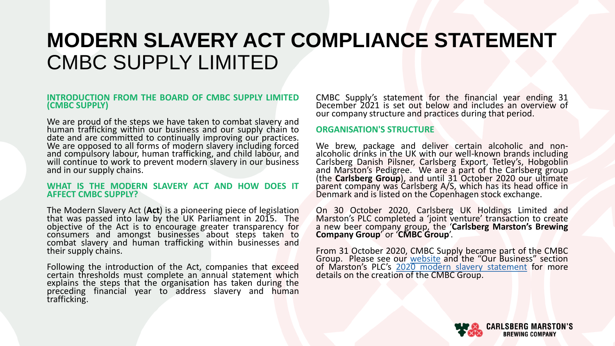#### **INTRODUCTION FROM THE BOARD OF CMBC SUPPLY LIMITED (CMBC SUPPLY)**

We are proud of the steps we have taken to combat slavery and human trafficking within our business and our supply chain to date and are committed to continually improving our practices. We are opposed to all forms of modern slavery including forced and compulsory labour, human trafficking, and child labour, and will continue to work to prevent modern slavery in our business and in our supply chains.

#### **WHAT IS THE MODERN SLAVERY ACT AND HOW DOES IT AFFECT CMBC SUPPLY?**

The Modern Slavery Act (**Act**) is a pioneering piece of legislation that was passed into law by the UK Parliament in 2015. The objective of the Act is to encourage greater transparency for consumers and amongst businesses about steps taken to combat slavery and human trafficking within businesses and their supply chains.

Following the introduction of the Act, companies that exceed certain thresholds must complete an annual statement which explains the steps that the organisation has taken during the preceding financial year to address slavery and human trafficking.

CMBC Supply's statement for the financial year ending 31 December 2021 is set out below and includes an overview of our company structure and practices during that period.

### **ORGANISATION'S STRUCTURE**

We brew, package and deliver certain alcoholic and nonalcoholic drinks in the UK with our well-known brands including Carlsberg Danish Pilsner, Carlsberg Export, Tetley's, Hobgoblin and Marston's Pedigree. We are a part of the Carlsberg group (the **Carlsberg Group**), and until 31 October 2020 our ultimate parent company was Carlsberg A/S, which has its head office in Denmark and is listed on the Copenhagen stock exchange.

On 30 October 2020, Carlsberg UK Holdings Limited and Marston's PLC completed a 'joint venture' transaction to create a new beer company group, the '**Carlsberg Marston's Brewing Company Group**' or '**CMBC Group**'.

From 31 October 2020, CMBC Supply became part of the CMBC Group. Please see our [website](https://www.carlsbergmarstons.co.uk/newsroom/two-breweries-become-one-as-carlsberg-marston-s-brewing-company/) and the "Our Business" section of Marston's PLC's 2020 modern slavery [statement](https://www.marstonspubs.co.uk/docs/responsibility/slavery-and-human-trafficking-statement-2020.pdf) for more details on the creation of the CMBC Group.

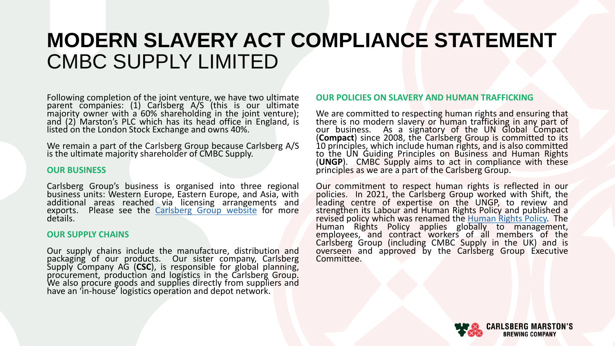Following completion of the joint venture, we have two ultimate parent companies: (1) Carlsberg A/S (this is our ultimate majority owner with a 60% shareholding in the joint venture); and (2) Marston's PLC which has its head office in England, is listed on the London Stock Exchange and owns 40%.

We remain a part of the Carlsberg Group because Carlsberg A/S is the ultimate majority shareholder of CMBC Supply.

### **OUR BUSINESS**

Carlsberg Group's business is organised into three regional business units: Western Europe, Eastern Europe, and Asia, with additional areas reached via licensing arrangements and exports. Please see the [Carlsberg](https://www.carlsberggroup.com/) Group website for more details.

### **OUR SUPPLY CHAINS**

Our supply chains include the manufacture, distribution and packaging of our products. Our sister company, Carlsberg Supply Company AG (**CSC**), is responsible for global planning, procurement, production and logistics in the Carlsberg Group. We also procure goods and supplies directly from suppliers and have an 'in-house' logistics operation and depot network.

### **OUR POLICIES ON SLAVERY AND HUMAN TRAFFICKING**

We are committed to respecting human rights and ensuring that there is no modern slavery or human trafficking in any part of our business. As a signatory of the UN Global Compact (**Compact**) since 2008, the Carlsberg Group is committed to its 10 principles, which include human rights, and is also committed to the UN Guiding Principles on Business and Human Rights (**UNGP**). CMBC Supply aims to act in compliance with these principles as we are a part of the Carlsberg Group.

Our commitment to respect human rights is reflected in our policies. In 2021, the Carlsberg Group worked with Shift, the leading centre of expertise on the UNGP, to review and strengthen its Labour and Human Rights Policy and published a revised policy which was renamed the [Human](https://www.carlsberggroup.com/media/46355/human-rights-policy.pdf) Rights Policy The Human Rights Policy applies globally to management, employees, and contract workers of all members of the Carlsberg Group (including CMBC Supply in the UK) and is overseen and approved by the Carlsberg Group Executive Committee.

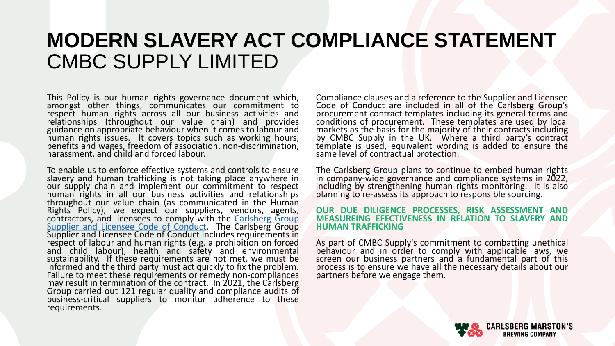This Policy is our human rights governance document which, amongst other things, communicates our commitment to respect human rights across all our business activities and relationships (throughout our value chain) and provides guidance on appropriate behaviour when it comes to labour and human rights issues. It covers topics such as working hours, benefits and wages, freedom of association, non-discrimination, harassment, and child and forced labour.

To enable us to enforce effective systems and controls to ensure slavery and human trafficking is not taking place anywhere in our supply chain and implement our commitment to respect human rights in all our business activities and relationships throughout our value chain (as communicated in the Human Rights Policy), we expect our suppliers, vendors, agents, [contractors,](https://www.carlsberggroup.com/media/38454/supplier-licensee-code-of-conduct-2019-vfinal.pdf) and licensees to comply with the Carlsberg Group Supplier and Licensee Code of Conduct. The Carlsberg Group Supplier and Licensee Code of Conduct includes requirements in respect of labour and human rights (e.g. a prohibition on forced and child labour), health and safety and environmental sustainability. If these requirements are not met, we must be informed and the third party must act quickly to fix the problem. Failure to meet these requirements or remedy non-compliances may result in termination of the contract. In 2021, the Carlsberg Group carried out 121 regular quality and compliance audits of business-critical suppliers to monitor adherence to these requirements.

Compliance clauses and a reference to the Supplier and Licensee Code of Conduct are included in all of the Carlsberg Group's procurement contract templates including its general terms and conditions of procurement. These templates are used by local markets as the basis for the majority of their contracts including by CMBC Supply in the UK. Where a third party's contract template is used, equivalent wording is added to ensure the same level of contractual protection.

The Carlsberg Group plans to continue to embed human rights in company-wide governance and compliance systems in 2022, including by strengthening human rights monitoring. It is also planning to re-assess its approach to responsible sourcing.

#### **OUR DUE DILIGENCE PROCESSES, RISK ASSESSMENT AND MEASUREING EFECTIVENESS IN RELATION TO SLAVERY AND HUMAN TRAFFICKING**

As part of CMBC Supply's commitment to combatting unethical behaviour and in order to comply with applicable laws, we screen our business partners and a fundamental part of this process is to ensure we have all the necessary details about our partners before we engage them.

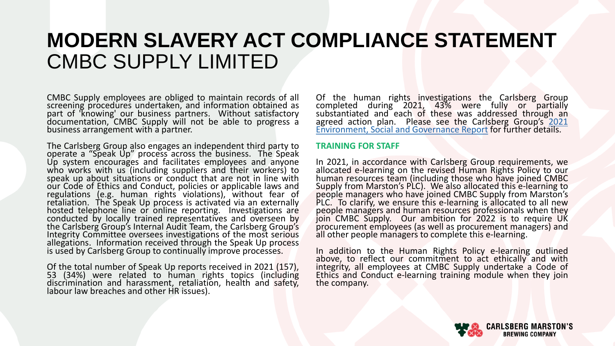CMBC Supply employees are obliged to maintain records of all screening procedures undertaken, and information obtained as part of 'knowing' our business partners. Without satisfactory documentation, CMBC Supply will not be able to progress a business arrangement with a partner.

The Carlsberg Group also engages an independent third party to operate a "Speak Up" process across the business. The Speak Up system encourages and facilitates employees and anyone who works with us (including suppliers and their workers) to speak up about situations or conduct that are not in line with our Code of Ethics and Conduct, policies or applicable laws and regulations (e.g. human rights violations), without fear of retaliation. The Speak Up process is activated via an externally hosted telephone line or online reporting. Investigations are conducted by locally trained representatives and overseen by the Carlsberg Group's Internal Audit Team, the Carlsberg Group's Integrity Committee oversees investigations of the most serious allegations. Information received through the Speak Up process is used by Carlsberg Group to continually improve processes.

Of the total number of Speak Up reports received in 2021 (157), 53 (34%) were related to human rights topics (including discrimination and harassment, retaliation, health and safety, labour law breaches and other HR issues).

Of the human rights investigations the Carlsberg Group completed during 2021, 43% were fully or partially substantiated and each of these was addressed through an agreed action plan. Please see the Carlsberg Group's 2021 [Environment,](https://www.carlsberggroup.com/media/48860/carlsberg-group-esg-report-2021.pdf) Social and Governance Report for further details.

#### **TRAINING FOR STAFF**

In 2021, in accordance with Carlsberg Group requirements, we allocated e-learning on the revised Human Rights Policy to our human resources team (including those who have joined CMBC Supply from Marston's PLC). We also allocated this e-learning to people managers who have joined CMBC Supply from Marston's PLC. To clarify, we ensure this e-learning is allocated to all new people managers and human resources professionals when they join CMBC Supply. Our ambition for 2022 is to require UK procurement employees (as well as procurement managers) and all other people managers to complete this e-learning.

In addition to the Human Rights Policy e-learning outlined above, to reflect our commitment to act ethically and with integrity, all employees at CMBC Supply undertake a Code of Ethics and Conduct e-learning training module when they join the company.

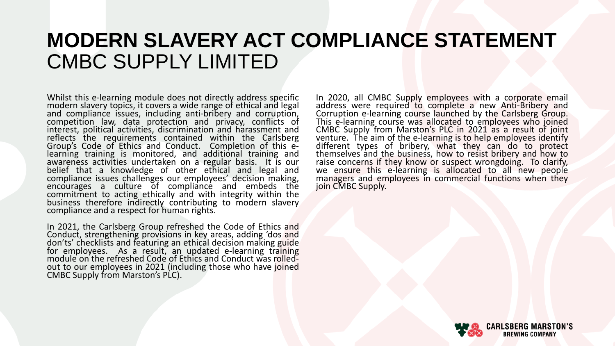Whilst this e-learning module does not directly address specific modern slavery topics, it covers a wide range of ethical and legal and compliance issues, including anti-bribery and corruption, competition law, data protection and privacy, conflicts of interest, political activities, discrimination and harassment and reflects the requirements contained within the Carlsberg Group's Code of Ethics and Conduct. Completion of this elearning training is monitored, and additional training and awareness activities undertaken on a regular basis. It is our belief that a knowledge of other ethical and legal and compliance issues challenges our employees' decision making, encourages a culture of compliance and embeds the commitment to acting ethically and with integrity within the business therefore indirectly contributing to modern slavery compliance and a respect for human rights.

In 2021, the Carlsberg Group refreshed the Code of Ethics and Conduct, strengthening provisions in key areas, adding 'dos and don'ts' checklists and featuring an ethical decision making guide for employees. As a result, an updated e-learning training module on the refreshed Code of Ethics and Conduct was rolledout to our employees in 2021 (including those who have joined CMBC Supply from Marston's PLC).

In 2020, all CMBC Supply employees with a corporate email address were required to complete a new Anti-Bribery and Corruption e-learning course launched by the Carlsberg Group. This e-learning course was allocated to employees who joined CMBC Supply from Marston's PLC in 2021 as a result of joint venture. The aim of the e-learning is to help employees identify different types of bribery, what they can do to protect themselves and the business, how to resist bribery and how to raise concerns if they know or suspect wrongdoing. To clarify, we ensure this e-learning is allocated to all new people managers and employees in commercial functions when they join CMBC Supply.